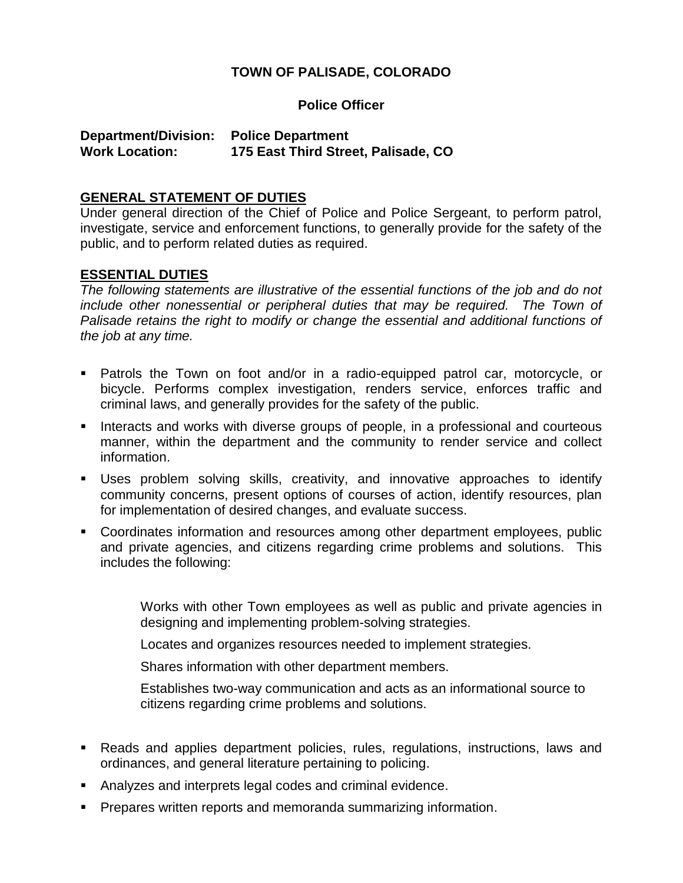## **TOWN OF PALISADE, COLORADO**

#### **Police Officer**

## **Department/Division: Police Department Work Location: 175 East Third Street, Palisade, CO**

#### **GENERAL STATEMENT OF DUTIES**

Under general direction of the Chief of Police and Police Sergeant, to perform patrol, investigate, service and enforcement functions, to generally provide for the safety of the public, and to perform related duties as required.

#### **ESSENTIAL DUTIES**

*The following statements are illustrative of the essential functions of the job and do not include other nonessential or peripheral duties that may be required. The Town of Palisade retains the right to modify or change the essential and additional functions of the job at any time.*

- Patrols the Town on foot and/or in a radio-equipped patrol car, motorcycle, or bicycle. Performs complex investigation, renders service, enforces traffic and criminal laws, and generally provides for the safety of the public.
- **Interacts and works with diverse groups of people, in a professional and courteous** manner, within the department and the community to render service and collect information.
- Uses problem solving skills, creativity, and innovative approaches to identify community concerns, present options of courses of action, identify resources, plan for implementation of desired changes, and evaluate success.
- Coordinates information and resources among other department employees, public and private agencies, and citizens regarding crime problems and solutions. This includes the following:

Works with other Town employees as well as public and private agencies in designing and implementing problem-solving strategies.

Locates and organizes resources needed to implement strategies.

Shares information with other department members.

Establishes two-way communication and acts as an informational source to citizens regarding crime problems and solutions.

- Reads and applies department policies, rules, regulations, instructions, laws and ordinances, and general literature pertaining to policing.
- Analyzes and interprets legal codes and criminal evidence.
- **Prepares written reports and memoranda summarizing information.**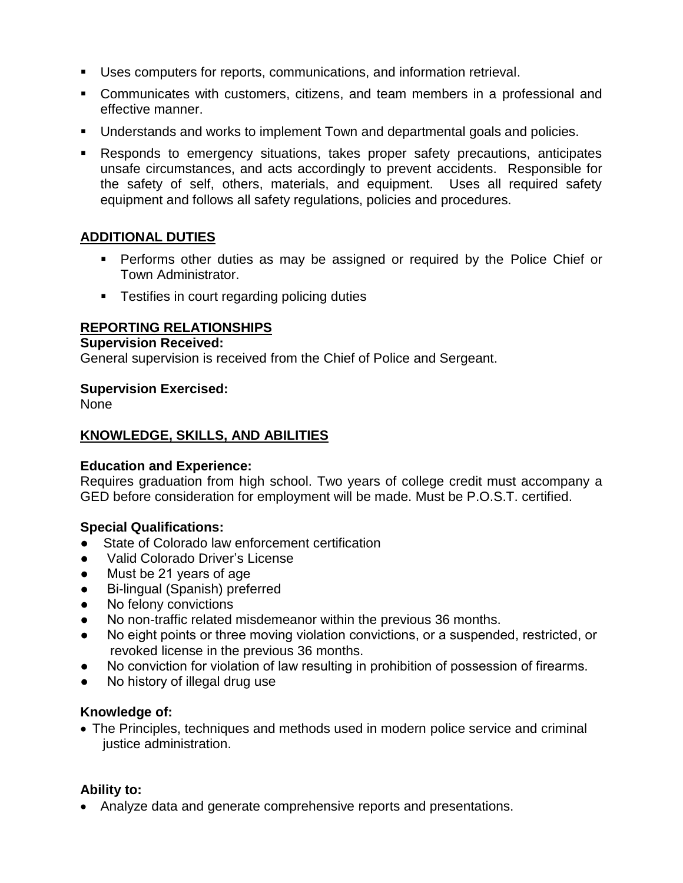- Uses computers for reports, communications, and information retrieval.
- Communicates with customers, citizens, and team members in a professional and effective manner.
- Understands and works to implement Town and departmental goals and policies.
- Responds to emergency situations, takes proper safety precautions, anticipates unsafe circumstances, and acts accordingly to prevent accidents. Responsible for the safety of self, others, materials, and equipment. Uses all required safety equipment and follows all safety regulations, policies and procedures.

## **ADDITIONAL DUTIES**

- **Performs other duties as may be assigned or required by the Police Chief or** Town Administrator.
- **FI** Testifies in court regarding policing duties

## **REPORTING RELATIONSHIPS**

#### **Supervision Received:**

General supervision is received from the Chief of Police and Sergeant.

## **Supervision Exercised:**

None

## **KNOWLEDGE, SKILLS, AND ABILITIES**

## **Education and Experience:**

Requires graduation from high school. Two years of college credit must accompany a GED before consideration for employment will be made. Must be P.O.S.T. certified.

## **Special Qualifications:**

- State of Colorado law enforcement certification
- Valid Colorado Driver's License
- Must be 21 years of age
- Bi-lingual (Spanish) preferred
- No felony convictions
- No non-traffic related misdemeanor within the previous 36 months.
- No eight points or three moving violation convictions, or a suspended, restricted, or revoked license in the previous 36 months.
- No conviction for violation of law resulting in prohibition of possession of firearms.
- No history of illegal drug use

## **Knowledge of:**

 The Principles, techniques and methods used in modern police service and criminal justice administration.

## **Ability to:**

Analyze data and generate comprehensive reports and presentations.